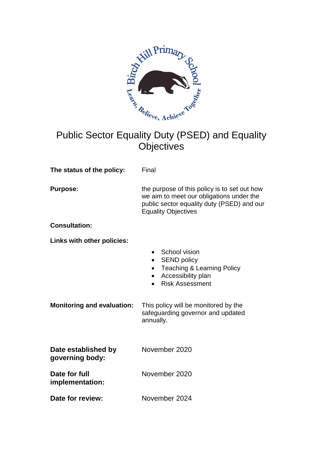

# Public Sector Equality Duty (PSED) and Equality **Objectives**

**The status of the policy:** Final

**Purpose: the purpose of this policy is to set out how** we aim to meet our obligations under the public sector equality duty (PSED) and our Equality Objectives

**Consultation:**

**Links with other policies:**

| School vision |  |
|---------------|--|
|---------------|--|

- SEND policy
- Teaching & Learning Policy
- Accessibility plan
- Risk Assessment

**Monitoring and evaluation:** This policy will be monitored by the safeguarding governor and updated annually.

| Date established by<br>governing body: | November 2020 |
|----------------------------------------|---------------|
| Date for full<br>implementation:       | November 2020 |
| Date for review:                       | November 2024 |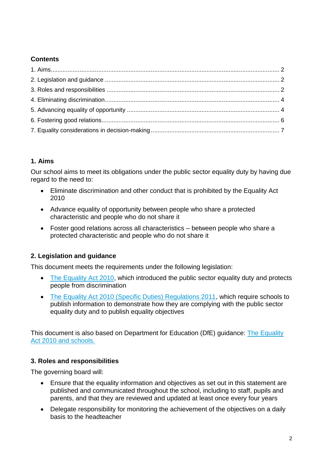# **Contents**

# **1. Aims**

Our school aims to meet its obligations under the public sector equality duty by having due regard to the need to:

- Eliminate discrimination and other conduct that is prohibited by the Equality Act 2010
- Advance equality of opportunity between people who share a protected characteristic and people who do not share it
- Foster good relations across all characteristics between people who share a protected characteristic and people who do not share it

# **2. Legislation and guidance**

This document meets the requirements under the following legislation:

- [The Equality Act 2010,](http://www.legislation.gov.uk/ukpga/2010/15/contents) which introduced the public sector equality duty and protects people from discrimination
- [The Equality Act 2010 \(Specific Duties\) Regulations 2011,](http://www.legislation.gov.uk/uksi/2011/2260/contents/made) which require schools to publish information to demonstrate how they are complying with the public sector equality duty and to publish equality objectives

This document is also based on Department for Education (DfE) guidance: The Equality [Act 2010 and schools.](https://www.gov.uk/government/uploads/system/uploads/attachment_data/file/315587/Equality_Act_Advice_Final.pdf) 

### **3. Roles and responsibilities**

The governing board will:

- Ensure that the equality information and objectives as set out in this statement are published and communicated throughout the school, including to staff, pupils and parents, and that they are reviewed and updated at least once every four years
- Delegate responsibility for monitoring the achievement of the objectives on a daily basis to the headteacher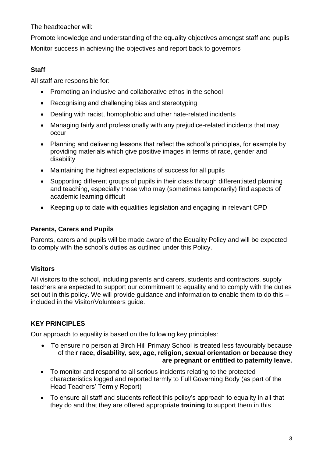The headteacher will:

Promote knowledge and understanding of the equality objectives amongst staff and pupils Monitor success in achieving the objectives and report back to governors

# **Staff**

All staff are responsible for:

- Promoting an inclusive and collaborative ethos in the school
- Recognising and challenging bias and stereotyping
- Dealing with racist, homophobic and other hate-related incidents
- Managing fairly and professionally with any prejudice-related incidents that may occur
- Planning and delivering lessons that reflect the school's principles, for example by providing materials which give positive images in terms of race, gender and disability
- Maintaining the highest expectations of success for all pupils
- Supporting different groups of pupils in their class through differentiated planning and teaching, especially those who may (sometimes temporarily) find aspects of academic learning difficult
- Keeping up to date with equalities legislation and engaging in relevant CPD

## **Parents, Carers and Pupils**

Parents, carers and pupils will be made aware of the Equality Policy and will be expected to comply with the school's duties as outlined under this Policy.

# **Visitors**

All visitors to the school, including parents and carers, students and contractors, supply teachers are expected to support our commitment to equality and to comply with the duties set out in this policy. We will provide guidance and information to enable them to do this – included in the Visitor/Volunteers guide.

# **KEY PRINCIPLES**

Our approach to equality is based on the following key principles:

- To ensure no person at Birch Hill Primary School is treated less favourably because of their **race, disability, sex, age, religion, sexual orientation or because they are pregnant or entitled to paternity leave.**
- To monitor and respond to all serious incidents relating to the protected characteristics logged and reported termly to Full Governing Body (as part of the Head Teachers' Termly Report)
- To ensure all staff and students reflect this policy's approach to equality in all that they do and that they are offered appropriate **training** to support them in this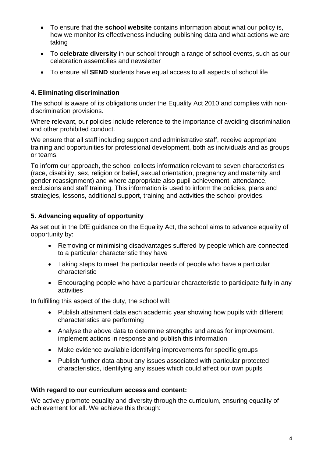- To ensure that the **school website** contains information about what our policy is, how we monitor its effectiveness including publishing data and what actions we are taking
- To **celebrate diversity** in our school through a range of school events, such as our celebration assemblies and newsletter
- To ensure all **SEND** students have equal access to all aspects of school life

## **4. Eliminating discrimination**

The school is aware of its obligations under the Equality Act 2010 and complies with nondiscrimination provisions.

Where relevant, our policies include reference to the importance of avoiding discrimination and other prohibited conduct.

We ensure that all staff including support and administrative staff, receive appropriate training and opportunities for professional development, both as individuals and as groups or teams.

To inform our approach, the school collects information relevant to seven characteristics (race, disability, sex, religion or belief, sexual orientation, pregnancy and maternity and gender reassignment) and where appropriate also pupil achievement, attendance, exclusions and staff training. This information is used to inform the policies, plans and strategies, lessons, additional support, training and activities the school provides.

## **5. Advancing equality of opportunity**

As set out in the DfE guidance on the Equality Act, the school aims to advance equality of opportunity by:

- Removing or minimising disadvantages suffered by people which are connected to a particular characteristic they have
- Taking steps to meet the particular needs of people who have a particular characteristic
- Encouraging people who have a particular characteristic to participate fully in any activities

In fulfilling this aspect of the duty, the school will:

- Publish attainment data each academic year showing how pupils with different characteristics are performing
- Analyse the above data to determine strengths and areas for improvement, implement actions in response and publish this information
- Make evidence available identifying improvements for specific groups
- Publish further data about any issues associated with particular protected characteristics, identifying any issues which could affect our own pupils

### **With regard to our curriculum access and content:**

We actively promote equality and diversity through the curriculum, ensuring equality of achievement for all. We achieve this through: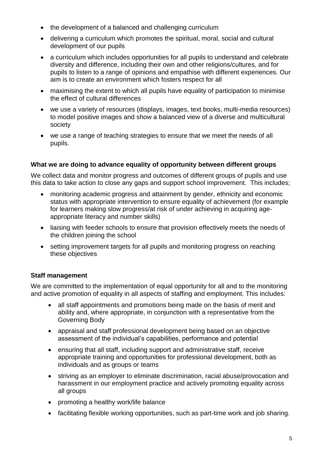- the development of a balanced and challenging curriculum
- delivering a curriculum which promotes the spiritual, moral, social and cultural development of our pupils
- a curriculum which includes opportunities for all pupils to understand and celebrate diversity and difference, including their own and other religions/cultures, and for pupils to listen to a range of opinions and empathise with different experiences. Our aim is to create an environment which fosters respect for all
- maximising the extent to which all pupils have equality of participation to minimise the effect of cultural differences
- we use a variety of resources (displays, images, text books, multi-media resources) to model positive images and show a balanced view of a diverse and multicultural society
- we use a range of teaching strategies to ensure that we meet the needs of all pupils.

### **What we are doing to advance equality of opportunity between different groups**

We collect data and monitor progress and outcomes of different groups of pupils and use this data to take action to close any gaps and support school improvement. This includes;

- monitoring academic progress and attainment by gender, ethnicity and economic status with appropriate intervention to ensure equality of achievement (for example for learners making slow progress/at risk of under achieving in acquiring ageappropriate literacy and number skills)
- liaising with feeder schools to ensure that provision effectively meets the needs of the children joining the school
- setting improvement targets for all pupils and monitoring progress on reaching these objectives

### **Staff management**

We are committed to the implementation of equal opportunity for all and to the monitoring and active promotion of equality in all aspects of staffing and employment. This includes:

- all staff appointments and promotions being made on the basis of merit and ability and, where appropriate, in conjunction with a representative from the Governing Body
- appraisal and staff professional development being based on an objective assessment of the individual's capabilities, performance and potential
- ensuring that all staff, including support and administrative staff, receive appropriate training and opportunities for professional development, both as individuals and as groups or teams
- striving as an employer to eliminate discrimination, racial abuse/provocation and harassment in our employment practice and actively promoting equality across all groups
- promoting a healthy work/life balance
- facilitating flexible working opportunities, such as part-time work and job sharing.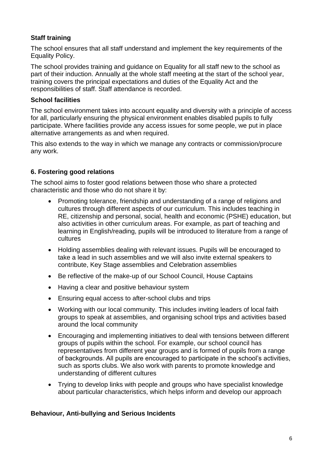## **Staff training**

The school ensures that all staff understand and implement the key requirements of the Equality Policy.

The school provides training and guidance on Equality for all staff new to the school as part of their induction. Annually at the whole staff meeting at the start of the school year, training covers the principal expectations and duties of the Equality Act and the responsibilities of staff. Staff attendance is recorded.

### **School facilities**

The school environment takes into account equality and diversity with a principle of access for all, particularly ensuring the physical environment enables disabled pupils to fully participate. Where facilities provide any access issues for some people, we put in place alternative arrangements as and when required.

This also extends to the way in which we manage any contracts or commission/procure any work.

## **6. Fostering good relations**

The school aims to foster good relations between those who share a protected characteristic and those who do not share it by:

- Promoting tolerance, friendship and understanding of a range of religions and cultures through different aspects of our curriculum. This includes teaching in RE, citizenship and personal, social, health and economic (PSHE) education, but also activities in other curriculum areas. For example, as part of teaching and learning in English/reading, pupils will be introduced to literature from a range of cultures
- Holding assemblies dealing with relevant issues. Pupils will be encouraged to take a lead in such assemblies and we will also invite external speakers to contribute, Key Stage assemblies and Celebration assemblies
- Be reflective of the make-up of our School Council, House Captains
- Having a clear and positive behaviour system
- Ensuring equal access to after-school clubs and trips
- Working with our local community. This includes inviting leaders of local faith groups to speak at assemblies, and organising school trips and activities based around the local community
- Encouraging and implementing initiatives to deal with tensions between different groups of pupils within the school. For example, our school council has representatives from different year groups and is formed of pupils from a range of backgrounds. All pupils are encouraged to participate in the school's activities, such as sports clubs. We also work with parents to promote knowledge and understanding of different cultures
- Trying to develop links with people and groups who have specialist knowledge about particular characteristics, which helps inform and develop our approach

#### **Behaviour, Anti-bullying and Serious Incidents**